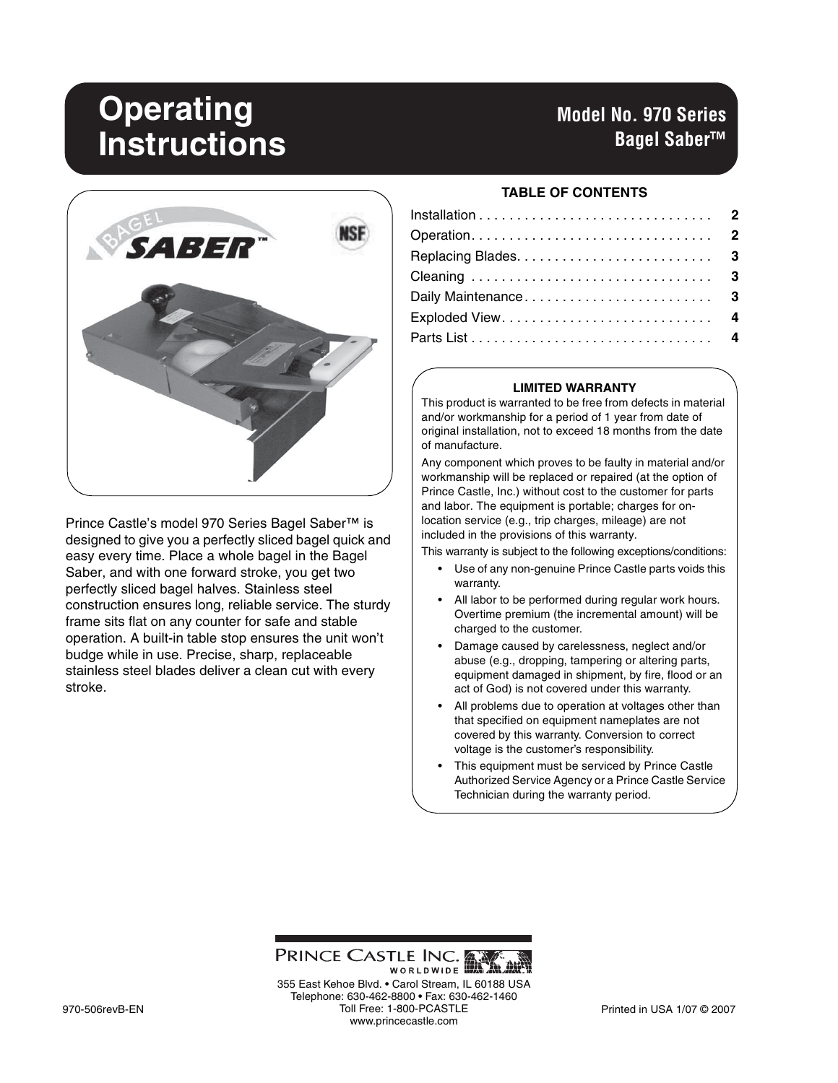# **Operating Instructions**

# **Model No. 970 Series Bagel Saber™**



Prince Castle's model 970 Series Bagel Saber™ is designed to give you a perfectly sliced bagel quick and easy every time. Place a whole bagel in the Bagel Saber, and with one forward stroke, you get two perfectly sliced bagel halves. Stainless steel construction ensures long, reliable service. The sturdy frame sits flat on any counter for safe and stable operation. A built-in table stop ensures the unit won't budge while in use. Precise, sharp, replaceable stainless steel blades deliver a clean cut with every stroke.

#### **TABLE OF CONTENTS**

| Operation 2         |  |
|---------------------|--|
|                     |  |
|                     |  |
| Daily Maintenance 3 |  |
|                     |  |
|                     |  |

#### **LIMITED WARRANTY**

This product is warranted to be free from defects in material and/or workmanship for a period of 1 year from date of original installation, not to exceed 18 months from the date of manufacture.

Any component which proves to be faulty in material and/or workmanship will be replaced or repaired (at the option of Prince Castle, Inc.) without cost to the customer for parts and labor. The equipment is portable; charges for onlocation service (e.g., trip charges, mileage) are not included in the provisions of this warranty.

This warranty is subject to the following exceptions/conditions:

- Use of any non-genuine Prince Castle parts voids this warranty.
- All labor to be performed during regular work hours. Overtime premium (the incremental amount) will be charged to the customer.
- Damage caused by carelessness, neglect and/or abuse (e.g., dropping, tampering or altering parts, equipment damaged in shipment, by fire, flood or an act of God) is not covered under this warranty.
- All problems due to operation at voltages other than that specified on equipment nameplates are not covered by this warranty. Conversion to correct voltage is the customer's responsibility.
- This equipment must be serviced by Prince Castle Authorized Service Agency or a Prince Castle Service Technician during the warranty period.

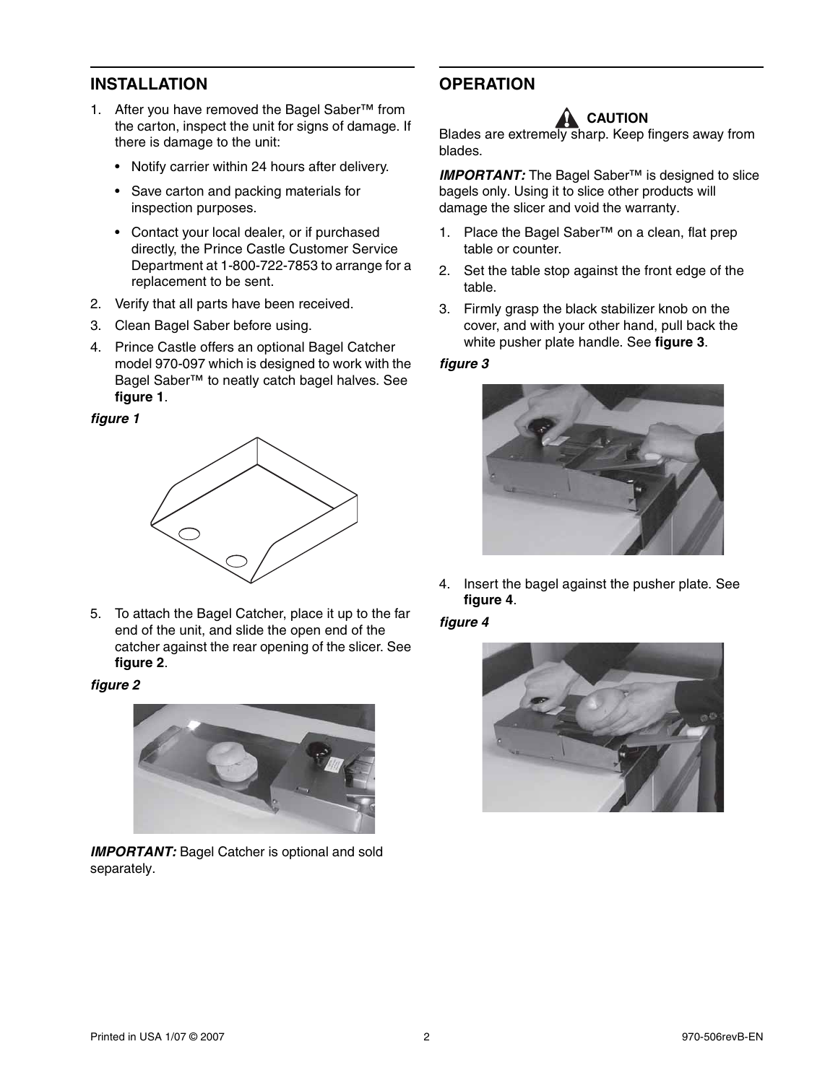## **INSTALLATION**

- 1. After you have removed the Bagel Saber™ from the carton, inspect the unit for signs of damage. If there is damage to the unit:
	- Notify carrier within 24 hours after delivery.
	- Save carton and packing materials for inspection purposes.
	- Contact your local dealer, or if purchased directly, the Prince Castle Customer Service Department at 1-800-722-7853 to arrange for a replacement to be sent.
- 2. Verify that all parts have been received.
- 3. Clean Bagel Saber before using.
- 4. Prince Castle offers an optional Bagel Catcher model 970-097 which is designed to work with the Bagel Saber™ to neatly catch bagel halves. See **figure 1**.

#### *figure 1*



5. To attach the Bagel Catcher, place it up to the far end of the unit, and slide the open end of the catcher against the rear opening of the slicer. See **figure 2**.

#### *figure 2*



**IMPORTANT:** Bagel Catcher is optional and sold separately.

# **OPERATION**

# **CAUTION**

Blades are extremely sharp. Keep fingers away from blades.

*IMPORTANT:* The Bagel Saber<sup>™</sup> is designed to slice bagels only. Using it to slice other products will damage the slicer and void the warranty.

- 1. Place the Bagel Saber™ on a clean, flat prep table or counter.
- 2. Set the table stop against the front edge of the table.
- 3. Firmly grasp the black stabilizer knob on the cover, and with your other hand, pull back the white pusher plate handle. See **figure 3**.

#### *figure 3*



4. Insert the bagel against the pusher plate. See **figure 4**.

#### *figure 4*

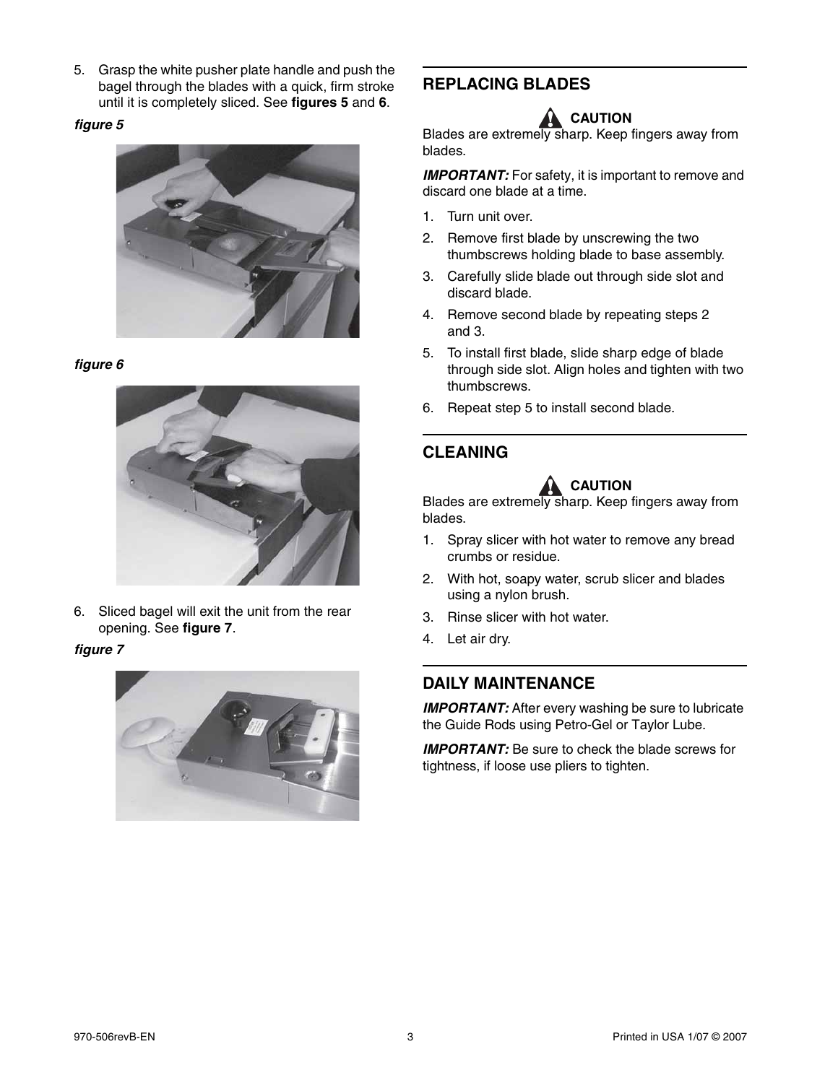5. Grasp the white pusher plate handle and push the bagel through the blades with a quick, firm stroke until it is completely sliced. See **figures 5** and **6**.

#### *figure 5*



#### *figure 6*



6. Sliced bagel will exit the unit from the rear opening. See **figure 7**.

#### *figure 7*



# **REPLACING BLADES**

# **A** CAUTION

Blades are extremely sharp. Keep fingers away from blades.

**IMPORTANT:** For safety, it is important to remove and discard one blade at a time.

- 1. Turn unit over.
- 2. Remove first blade by unscrewing the two thumbscrews holding blade to base assembly.
- 3. Carefully slide blade out through side slot and discard blade.
- 4. Remove second blade by repeating steps 2 and 3.
- 5. To install first blade, slide sharp edge of blade through side slot. Align holes and tighten with two thumbscrews.
- 6. Repeat step 5 to install second blade.

# **CLEANING**



Blades are extremely sharp. Keep fingers away from blades.

- 1. Spray slicer with hot water to remove any bread crumbs or residue.
- 2. With hot, soapy water, scrub slicer and blades using a nylon brush.
- 3. Rinse slicer with hot water.
- 4. Let air dry.

## **DAILY MAINTENANCE**

**IMPORTANT:** After every washing be sure to lubricate the Guide Rods using Petro-Gel or Taylor Lube.

**IMPORTANT:** Be sure to check the blade screws for tightness, if loose use pliers to tighten.